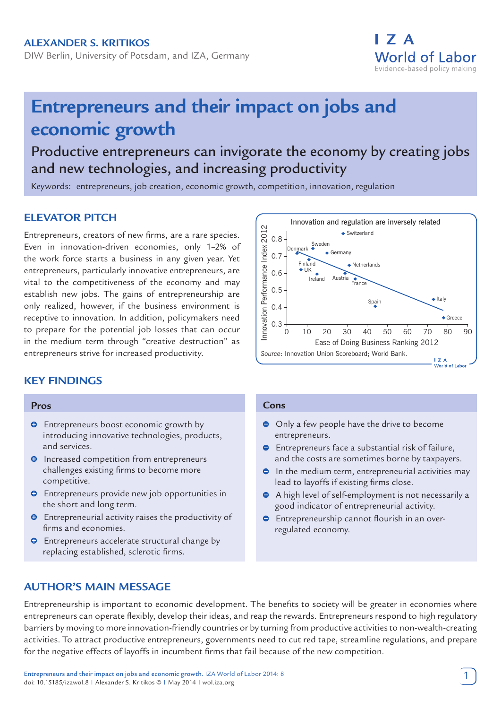DIW Berlin, University of Potsdam, and IZA, Germany

# **Entrepreneurs and their impact on jobs and economic growth**

Productive entrepreneurs can invigorate the economy by creating jobs and new technologies, and increasing productivity

Keywords: entrepreneurs, job creation, economic growth, competition, innovation, regulation

## **ELEVATOR PITCH**

Entrepreneurs, creators of new firms, are a rare species. Even in innovation-driven economies, only 1–2% of the work force starts a business in any given year. Yet entrepreneurs, particularly innovative entrepreneurs, are vital to the competitiveness of the economy and may establish new jobs. The gains of entrepreneurship are only realized, however, if the business environment is receptive to innovation. In addition, policymakers need to prepare for the potential job losses that can occur in the medium term through "creative destruction" as entrepreneurs strive for increased productivity.

# **KEY FINDINGS**

#### **Pros**

- $\bullet$  Entrepreneurs boost economic growth by introducing innovative technologies, products, and services.
- **O** Increased competition from entrepreneurs challenges existing firms to become more competitive.
- $\bullet$  Entrepreneurs provide new job opportunities in the short and long term.
- $\bullet$  Entrepreneurial activity raises the productivity of firms and economies.
- $\bullet$  Entrepreneurs accelerate structural change by replacing established, sclerotic firms.



I 7 A

World of Labor Evidence-based policy making

#### **Cons**

- Only a few people have the drive to become entrepreneurs.
- $\bullet$  Entrepreneurs face a substantial risk of failure, and the costs are sometimes borne by taxpayers.
- $\bullet$  In the medium term, entrepreneurial activities may lead to layoffs if existing firms close.
- A high level of self-employment is not necessarily a good indicator of entrepreneurial activity.
- $\bullet$  Entrepreneurship cannot flourish in an overregulated economy.

## **AUTHOR'S MAIN MESSAGE**

Entrepreneurship is important to economic development. The benefits to society will be greater in economies where entrepreneurs can operate flexibly, develop their ideas, and reap the rewards. Entrepreneurs respond to high regulatory barriers by moving to more innovation-friendly countries or by turning from productive activities to non-wealth-creating activities. To attract productive entrepreneurs, governments need to cut red tape, streamline regulations, and prepare for the negative effects of layoffs in incumbent firms that fail because of the new competition.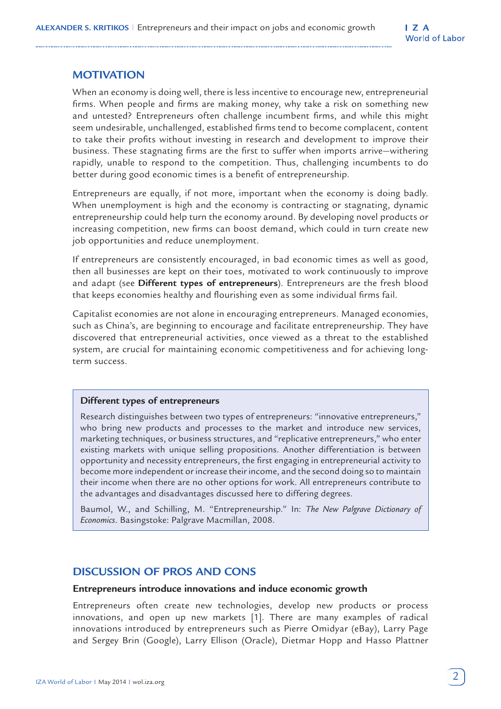## **MOTIVATION**

When an economy is doing well, there is less incentive to encourage new, entrepreneurial firms. When people and firms are making money, why take a risk on something new and untested? Entrepreneurs often challenge incumbent firms, and while this might seem undesirable, unchallenged, established firms tend to become complacent, content to take their profits without investing in research and development to improve their business. These stagnating firms are the first to suffer when imports arrive—withering rapidly, unable to respond to the competition. Thus, challenging incumbents to do better during good economic times is a benefit of entrepreneurship.

Entrepreneurs are equally, if not more, important when the economy is doing badly. When unemployment is high and the economy is contracting or stagnating, dynamic entrepreneurship could help turn the economy around. By developing novel products or increasing competition, new firms can boost demand, which could in turn create new job opportunities and reduce unemployment.

If entrepreneurs are consistently encouraged, in bad economic times as well as good, then all businesses are kept on their toes, motivated to work continuously to improve and adapt (see **Different types of entrepreneurs**). Entrepreneurs are the fresh blood that keeps economies healthy and flourishing even as some individual firms fail.

Capitalist economies are not alone in encouraging entrepreneurs. Managed economies, such as China's, are beginning to encourage and facilitate entrepreneurship. They have discovered that entrepreneurial activities, once viewed as a threat to the established system, are crucial for maintaining economic competitiveness and for achieving longterm success.

#### **Different types of entrepreneurs**

Research distinguishes between two types of entrepreneurs: "innovative entrepreneurs," who bring new products and processes to the market and introduce new services, marketing techniques, or business structures, and "replicative entrepreneurs," who enter existing markets with unique selling propositions. Another differentiation is between opportunity and necessity entrepreneurs, the first engaging in entrepreneurial activity to become more independent or increase their income, and the second doing so to maintain their income when there are no other options for work. All entrepreneurs contribute to the advantages and disadvantages discussed here to differing degrees.

Baumol, W., and Schilling, M. "Entrepreneurship." In: *The New Palgrave Dictionary of Economics*. Basingstoke: Palgrave Macmillan, 2008.

## **DISCUSSION OF PROS AND CONS**

#### **Entrepreneurs introduce innovations and induce economic growth**

Entrepreneurs often create new technologies, develop new products or process innovations, and open up new markets [1]. There are many examples of radical innovations introduced by entrepreneurs such as Pierre Omidyar (eBay), Larry Page and Sergey Brin (Google), Larry Ellison (Oracle), Dietmar Hopp and Hasso Plattner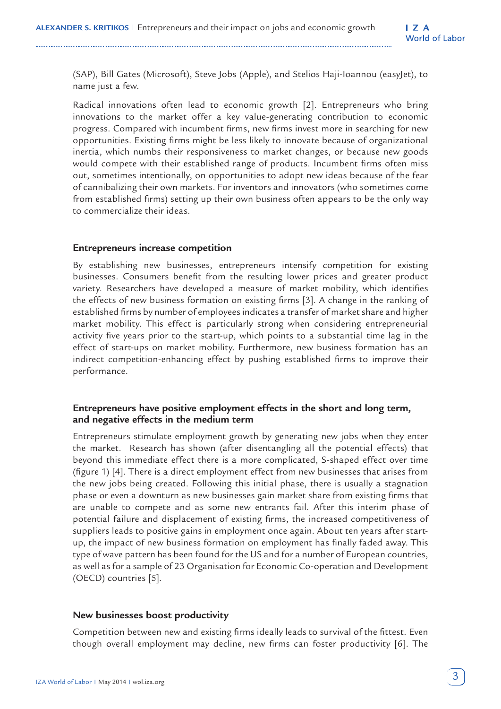(SAP), Bill Gates (Microsoft), Steve Jobs (Apple), and Stelios Haji-Ioannou (easyJet), to name just a few.

Radical innovations often lead to economic growth [2]. Entrepreneurs who bring innovations to the market offer a key value-generating contribution to economic progress. Compared with incumbent firms, new firms invest more in searching for new opportunities. Existing firms might be less likely to innovate because of organizational inertia, which numbs their responsiveness to market changes, or because new goods would compete with their established range of products. Incumbent firms often miss out, sometimes intentionally, on opportunities to adopt new ideas because of the fear of cannibalizing their own markets. For inventors and innovators (who sometimes come from established firms) setting up their own business often appears to be the only way to commercialize their ideas.

#### **Entrepreneurs increase competition**

By establishing new businesses, entrepreneurs intensify competition for existing businesses. Consumers benefit from the resulting lower prices and greater product variety. Researchers have developed a measure of market mobility, which identifies the effects of new business formation on existing firms [3]. A change in the ranking of established firms by number of employees indicates a transfer of market share and higher market mobility. This effect is particularly strong when considering entrepreneurial activity five years prior to the start-up, which points to a substantial time lag in the effect of start-ups on market mobility. Furthermore, new business formation has an indirect competition-enhancing effect by pushing established firms to improve their performance.

#### **Entrepreneurs have positive employment effects in the short and long term, and negative effects in the medium term**

Entrepreneurs stimulate employment growth by generating new jobs when they enter the market. Research has shown (after disentangling all the potential effects) that beyond this immediate effect there is a more complicated, S-shaped effect over time (figure 1) [4]. There is a direct employment effect from new businesses that arises from the new jobs being created. Following this initial phase, there is usually a stagnation phase or even a downturn as new businesses gain market share from existing firms that are unable to compete and as some new entrants fail. After this interim phase of potential failure and displacement of existing firms, the increased competitiveness of suppliers leads to positive gains in employment once again. About ten years after startup, the impact of new business formation on employment has finally faded away. This type of wave pattern has been found for the US and for a number of European countries, as well as for a sample of 23 Organisation for Economic Co-operation and Development (OECD) countries [5].

#### **New businesses boost productivity**

Competition between new and existing firms ideally leads to survival of the fittest. Even though overall employment may decline, new firms can foster productivity [6]. The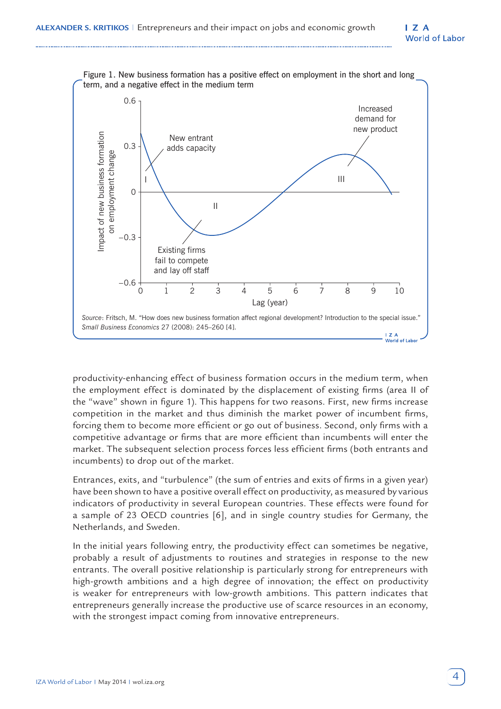

productivity-enhancing effect of business formation occurs in the medium term, when the employment effect is dominated by the displacement of existing firms (area II of the "wave" shown in figure 1). This happens for two reasons. First, new firms increase competition in the market and thus diminish the market power of incumbent firms, forcing them to become more efficient or go out of business. Second, only firms with a competitive advantage or firms that are more efficient than incumbents will enter the market. The subsequent selection process forces less efficient firms (both entrants and incumbents) to drop out of the market.

Entrances, exits, and "turbulence" (the sum of entries and exits of firms in a given year) have been shown to have a positive overall effect on productivity, as measured by various indicators of productivity in several European countries. These effects were found for a sample of 23 OECD countries [6], and in single country studies for Germany, the Netherlands, and Sweden.

In the initial years following entry, the productivity effect can sometimes be negative, probably a result of adjustments to routines and strategies in response to the new entrants. The overall positive relationship is particularly strong for entrepreneurs with high-growth ambitions and a high degree of innovation; the effect on productivity is weaker for entrepreneurs with low-growth ambitions. This pattern indicates that entrepreneurs generally increase the productive use of scarce resources in an economy, with the strongest impact coming from innovative entrepreneurs.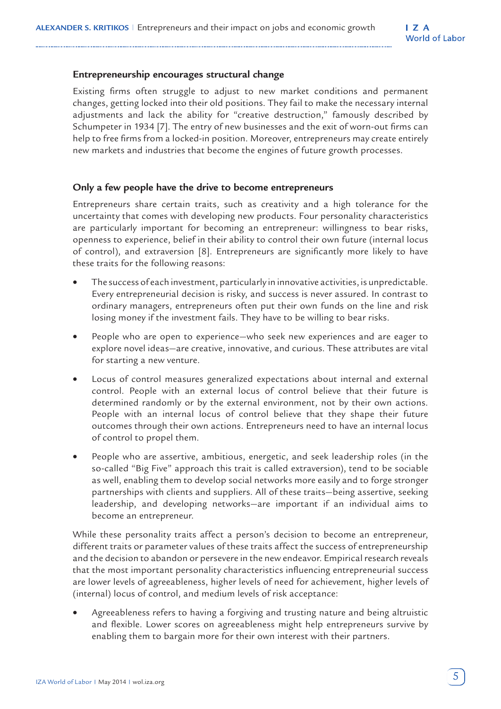#### **Entrepreneurship encourages structural change**

Existing firms often struggle to adjust to new market conditions and permanent changes, getting locked into their old positions. They fail to make the necessary internal adjustments and lack the ability for "creative destruction," famously described by Schumpeter in 1934 [7]. The entry of new businesses and the exit of worn-out firms can help to free firms from a locked-in position. Moreover, entrepreneurs may create entirely new markets and industries that become the engines of future growth processes.

#### **Only a few people have the drive to become entrepreneurs**

Entrepreneurs share certain traits, such as creativity and a high tolerance for the uncertainty that comes with developing new products. Four personality characteristics are particularly important for becoming an entrepreneur: willingness to bear risks, openness to experience, belief in their ability to control their own future (internal locus of control), and extraversion [8]. Entrepreneurs are significantly more likely to have these traits for the following reasons:

- The success of each investment, particularly in innovative activities, is unpredictable. Every entrepreneurial decision is risky, and success is never assured. In contrast to ordinary managers, entrepreneurs often put their own funds on the line and risk losing money if the investment fails. They have to be willing to bear risks.
- People who are open to experience—who seek new experiences and are eager to explore novel ideas—are creative, innovative, and curious. These attributes are vital for starting a new venture.
- Locus of control measures generalized expectations about internal and external control. People with an external locus of control believe that their future is determined randomly or by the external environment, not by their own actions. People with an internal locus of control believe that they shape their future outcomes through their own actions. Entrepreneurs need to have an internal locus of control to propel them.
- People who are assertive, ambitious, energetic, and seek leadership roles (in the so-called "Big Five" approach this trait is called extraversion), tend to be sociable as well, enabling them to develop social networks more easily and to forge stronger partnerships with clients and suppliers. All of these traits—being assertive, seeking leadership, and developing networks—are important if an individual aims to become an entrepreneur.

While these personality traits affect a person's decision to become an entrepreneur, different traits or parameter values of these traits affect the success of entrepreneurship and the decision to abandon or persevere in the new endeavor. Empirical research reveals that the most important personality characteristics influencing entrepreneurial success are lower levels of agreeableness, higher levels of need for achievement, higher levels of (internal) locus of control, and medium levels of risk acceptance:

• Agreeableness refers to having a forgiving and trusting nature and being altruistic and flexible. Lower scores on agreeableness might help entrepreneurs survive by enabling them to bargain more for their own interest with their partners.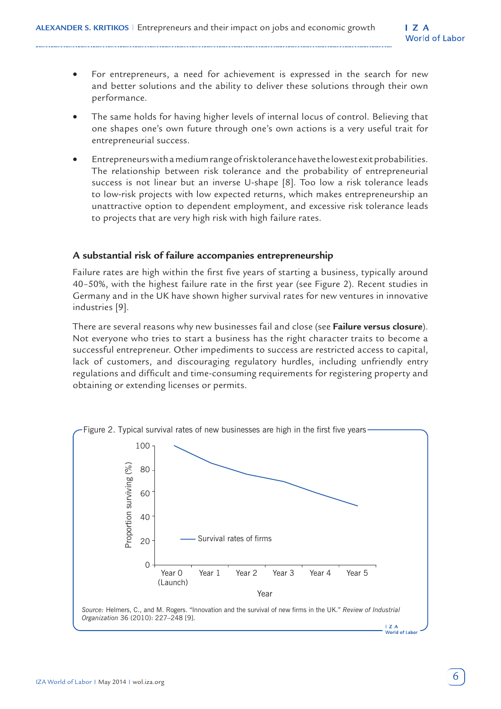- For entrepreneurs, a need for achievement is expressed in the search for new and better solutions and the ability to deliver these solutions through their own performance.
- The same holds for having higher levels of internal locus of control. Believing that one shapes one's own future through one's own actions is a very useful trait for entrepreneurial success.
- Entrepreneurs with a medium range of risk tolerance have the lowest exit probabilities. The relationship between risk tolerance and the probability of entrepreneurial success is not linear but an inverse U-shape [8]. Too low a risk tolerance leads to low-risk projects with low expected returns, which makes entrepreneurship an unattractive option to dependent employment, and excessive risk tolerance leads to projects that are very high risk with high failure rates.

#### **A substantial risk of failure accompanies entrepreneurship**

Failure rates are high within the first five years of starting a business, typically around 40–50%, with the highest failure rate in the first year (see Figure 2). Recent studies in Germany and in the UK have shown higher survival rates for new ventures in innovative industries [9].

There are several reasons why new businesses fail and close (see **Failure versus closure**). Not everyone who tries to start a business has the right character traits to become a successful entrepreneur. Other impediments to success are restricted access to capital, lack of customers, and discouraging regulatory hurdles, including unfriendly entry regulations and difficult and time-consuming requirements for registering property and obtaining or extending licenses or permits.

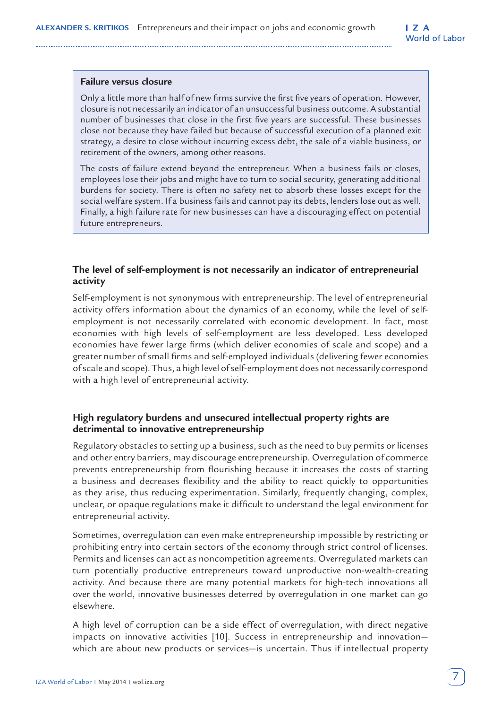#### **Failure versus closure**

Only a little more than half of new firms survive the first five years of operation. However, closure is not necessarily an indicator of an unsuccessful business outcome. A substantial number of businesses that close in the first five years are successful. These businesses close not because they have failed but because of successful execution of a planned exit strategy, a desire to close without incurring excess debt, the sale of a viable business, or retirement of the owners, among other reasons.

The costs of failure extend beyond the entrepreneur. When a business fails or closes, employees lose their jobs and might have to turn to social security, generating additional burdens for society. There is often no safety net to absorb these losses except for the social welfare system. If a business fails and cannot pay its debts, lenders lose out as well. Finally, a high failure rate for new businesses can have a discouraging effect on potential future entrepreneurs.

## **The level of self-employment is not necessarily an indicator of entrepreneurial activity**

Self-employment is not synonymous with entrepreneurship. The level of entrepreneurial activity offers information about the dynamics of an economy, while the level of selfemployment is not necessarily correlated with economic development. In fact, most economies with high levels of self-employment are less developed. Less developed economies have fewer large firms (which deliver economies of scale and scope) and a greater number of small firms and self-employed individuals (delivering fewer economies of scale and scope). Thus, a high level of self-employment does not necessarily correspond with a high level of entrepreneurial activity.

## **High regulatory burdens and unsecured intellectual property rights are detrimental to innovative entrepreneurship**

Regulatory obstacles to setting up a business, such as the need to buy permits or licenses and other entry barriers, may discourage entrepreneurship. Overregulation of commerce prevents entrepreneurship from flourishing because it increases the costs of starting a business and decreases flexibility and the ability to react quickly to opportunities as they arise, thus reducing experimentation. Similarly, frequently changing, complex, unclear, or opaque regulations make it difficult to understand the legal environment for entrepreneurial activity.

Sometimes, overregulation can even make entrepreneurship impossible by restricting or prohibiting entry into certain sectors of the economy through strict control of licenses. Permits and licenses can act as noncompetition agreements. Overregulated markets can turn potentially productive entrepreneurs toward unproductive non-wealth-creating activity. And because there are many potential markets for high-tech innovations all over the world, innovative businesses deterred by overregulation in one market can go elsewhere.

A high level of corruption can be a side effect of overregulation, with direct negative impacts on innovative activities [10]. Success in entrepreneurship and innovation which are about new products or services—is uncertain. Thus if intellectual property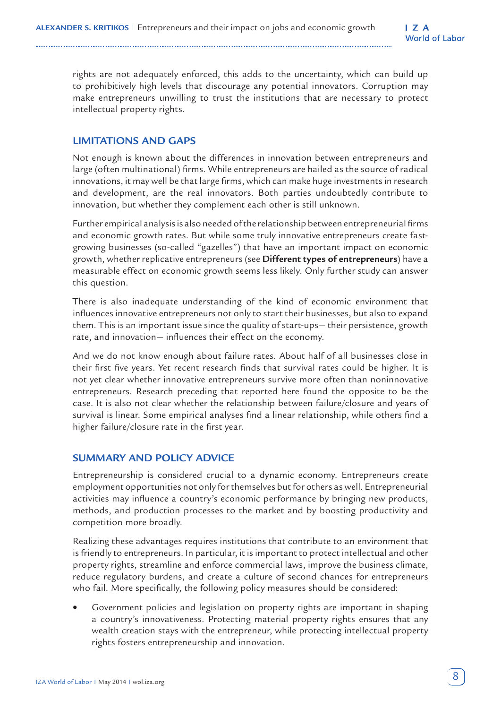rights are not adequately enforced, this adds to the uncertainty, which can build up to prohibitively high levels that discourage any potential innovators. Corruption may make entrepreneurs unwilling to trust the institutions that are necessary to protect intellectual property rights.

## **LIMITATIONS AND GAPS**

Not enough is known about the differences in innovation between entrepreneurs and large (often multinational) firms. While entrepreneurs are hailed as the source of radical innovations, it may well be that large firms, which can make huge investments in research and development, are the real innovators. Both parties undoubtedly contribute to innovation, but whether they complement each other is still unknown.

Further empirical analysis is also needed of the relationship between entrepreneurial firms and economic growth rates. But while some truly innovative entrepreneurs create fastgrowing businesses (so-called "gazelles") that have an important impact on economic growth, whether replicative entrepreneurs (see **Different types of entrepreneurs**) have a measurable effect on economic growth seems less likely. Only further study can answer this question.

There is also inadequate understanding of the kind of economic environment that influences innovative entrepreneurs not only to start their businesses, but also to expand them. This is an important issue since the quality of start-ups— their persistence, growth rate, and innovation— influences their effect on the economy.

And we do not know enough about failure rates. About half of all businesses close in their first five years. Yet recent research finds that survival rates could be higher. It is not yet clear whether innovative entrepreneurs survive more often than noninnovative entrepreneurs. Research preceding that reported here found the opposite to be the case. It is also not clear whether the relationship between failure/closure and years of survival is linear. Some empirical analyses find a linear relationship, while others find a higher failure/closure rate in the first year.

## **SUMMARY AND POLICY ADVICE**

Entrepreneurship is considered crucial to a dynamic economy. Entrepreneurs create employment opportunities not only for themselves but for others as well. Entrepreneurial activities may influence a country's economic performance by bringing new products, methods, and production processes to the market and by boosting productivity and competition more broadly.

Realizing these advantages requires institutions that contribute to an environment that is friendly to entrepreneurs. In particular, it is important to protect intellectual and other property rights, streamline and enforce commercial laws, improve the business climate, reduce regulatory burdens, and create a culture of second chances for entrepreneurs who fail. More specifically, the following policy measures should be considered:

• Government policies and legislation on property rights are important in shaping a country's innovativeness. Protecting material property rights ensures that any wealth creation stays with the entrepreneur, while protecting intellectual property rights fosters entrepreneurship and innovation.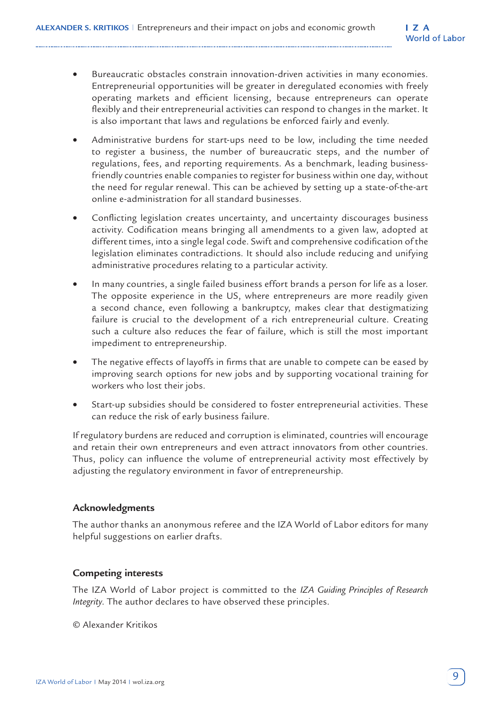- Bureaucratic obstacles constrain innovation-driven activities in many economies. Entrepreneurial opportunities will be greater in deregulated economies with freely operating markets and efficient licensing, because entrepreneurs can operate flexibly and their entrepreneurial activities can respond to changes in the market. It is also important that laws and regulations be enforced fairly and evenly.
- Administrative burdens for start-ups need to be low, including the time needed to register a business, the number of bureaucratic steps, and the number of regulations, fees, and reporting requirements. As a benchmark, leading businessfriendly countries enable companies to register for business within one day, without the need for regular renewal. This can be achieved by setting up a state-of-the-art online e-administration for all standard businesses.
- Conflicting legislation creates uncertainty, and uncertainty discourages business activity. Codification means bringing all amendments to a given law, adopted at different times, into a single legal code. Swift and comprehensive codification of the legislation eliminates contradictions. It should also include reducing and unifying administrative procedures relating to a particular activity.
- In many countries, a single failed business effort brands a person for life as a loser. The opposite experience in the US, where entrepreneurs are more readily given a second chance, even following a bankruptcy, makes clear that destigmatizing failure is crucial to the development of a rich entrepreneurial culture. Creating such a culture also reduces the fear of failure, which is still the most important impediment to entrepreneurship.
- The negative effects of layoffs in firms that are unable to compete can be eased by improving search options for new jobs and by supporting vocational training for workers who lost their jobs.
- Start-up subsidies should be considered to foster entrepreneurial activities. These can reduce the risk of early business failure.

If regulatory burdens are reduced and corruption is eliminated, countries will encourage and retain their own entrepreneurs and even attract innovators from other countries. Thus, policy can influence the volume of entrepreneurial activity most effectively by adjusting the regulatory environment in favor of entrepreneurship.

## **Acknowledgments**

The author thanks an anonymous referee and the IZA World of Labor editors for many helpful suggestions on earlier drafts.

## **Competing interests**

The IZA World of Labor project is committed to the *IZA Guiding Principles of Research Integrity*. The author declares to have observed these principles.

© Alexander Kritikos